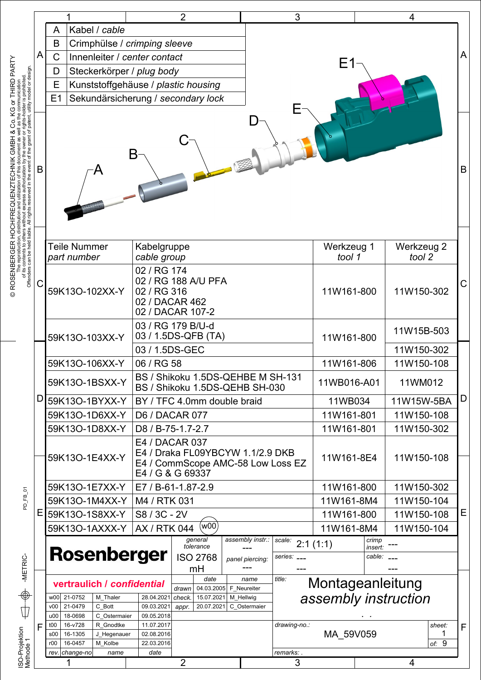|                                                                                                                                                                                                                                           |   |                                                                                                                               |                          |                                                                                         | 2                                                            |                           | 3               |                      |                  | 4                    |   |
|-------------------------------------------------------------------------------------------------------------------------------------------------------------------------------------------------------------------------------------------|---|-------------------------------------------------------------------------------------------------------------------------------|--------------------------|-----------------------------------------------------------------------------------------|--------------------------------------------------------------|---------------------------|-----------------|----------------------|------------------|----------------------|---|
|                                                                                                                                                                                                                                           |   | Kabel / cable<br>A                                                                                                            |                          |                                                                                         |                                                              |                           |                 |                      |                  |                      |   |
| A                                                                                                                                                                                                                                         |   | B<br>Crimphülse / crimping sleeve                                                                                             |                          |                                                                                         |                                                              |                           |                 |                      |                  |                      | Α |
|                                                                                                                                                                                                                                           |   | C<br>Innenleiter / center contact                                                                                             |                          |                                                                                         |                                                              |                           |                 | E1                   |                  |                      |   |
|                                                                                                                                                                                                                                           |   | Steckerkörper / plug body<br>D                                                                                                |                          |                                                                                         |                                                              |                           |                 |                      |                  |                      |   |
|                                                                                                                                                                                                                                           |   | Ε<br>Kunststoffgehäuse / plastic housing<br>E1                                                                                |                          |                                                                                         |                                                              |                           |                 |                      |                  |                      |   |
|                                                                                                                                                                                                                                           |   | Sekundärsicherung / secondary lock                                                                                            |                          |                                                                                         |                                                              |                           |                 |                      |                  |                      |   |
| The reproduction, distribution and utilization of this document as well as the communication<br>of its contents to others without express authorization by the owner or rights-holder is prohibited.<br>Offenders can be held liable<br>В | B |                                                                                                                               |                          |                                                                                         |                                                              |                           |                 |                      | B                |                      |   |
|                                                                                                                                                                                                                                           |   | Teile Nummer<br>Kabelgruppe<br>cable group<br>part number                                                                     |                          |                                                                                         |                                                              |                           |                 | Werkzeug 1<br>tool 1 |                  | Werkzeug 2<br>tool 2 |   |
| С                                                                                                                                                                                                                                         |   | 59K13O-102XX-Y                                                                                                                |                          | 02 / RG 174<br>02 / RG 188 A/U PFA<br>02 / RG 316<br>02 / DACAR 462<br>02 / DACAR 107-2 |                                                              |                           | 11W161-800      |                      | 11W150-302       | С                    |   |
|                                                                                                                                                                                                                                           |   | 03 / RG 179 B/U-d<br>03 / 1.5DS-QFB (TA)<br>59K13O-103XX-Y                                                                    |                          |                                                                                         |                                                              |                           | 11W161-800      |                      |                  | 11W15B-503           |   |
|                                                                                                                                                                                                                                           |   |                                                                                                                               |                          | 03 / 1.5DS-GEC                                                                          |                                                              |                           |                 |                      |                  | 11W150-302           |   |
|                                                                                                                                                                                                                                           |   | 59K13O-106XX-Y                                                                                                                |                          | 06 / RG 58                                                                              |                                                              |                           |                 | 11W161-806           |                  | 11W150-108           |   |
|                                                                                                                                                                                                                                           |   | 59K13O-1BSXX-Y                                                                                                                |                          | BS / Shikoku 1.5DS-QEHBE M SH-131<br>BS / Shikoku 1.5DS-QEHB SH-030                     |                                                              |                           | 11WB016-A01     |                      | 11WM012          |                      |   |
| D                                                                                                                                                                                                                                         |   | 59K13O-1BYXX-Y                                                                                                                |                          | BY / TFC 4.0mm double braid                                                             |                                                              |                           | 11WB034         |                      | 11W15W-5BA       | D                    |   |
|                                                                                                                                                                                                                                           |   | 59K13O-1D6XX-Y                                                                                                                |                          | <b>D6 / DACAR 077</b>                                                                   |                                                              |                           | 11W161-801      |                      | 11W150-108       |                      |   |
|                                                                                                                                                                                                                                           |   | 59K13O-1D8XX-Y                                                                                                                |                          | D8 / B-75-1.7-2.7                                                                       |                                                              |                           | 11W161-801      |                      | 11W150-302       |                      |   |
|                                                                                                                                                                                                                                           |   | E4 / DACAR 037<br>E4 / Draka FL09YBCYW 1.1/2.9 DKB<br>59K13O-1E4XX-Y<br>E4 / CommScope AMC-58 Low Loss EZ<br>E4 / G & G 69337 |                          |                                                                                         |                                                              | 11W161-8E4                |                 |                      | 11W150-108       |                      |   |
|                                                                                                                                                                                                                                           |   | 59K13O-1E7XX-Y                                                                                                                |                          | E7 / B-61-1.87-2.9                                                                      |                                                              |                           | 11W161-800      |                      | 11W150-302       |                      |   |
|                                                                                                                                                                                                                                           |   | 59K13O-1M4XX-Y                                                                                                                |                          | M4 / RTK 031                                                                            |                                                              |                           | 11W161-8M4      |                      | 11W150-104       |                      |   |
| Ε                                                                                                                                                                                                                                         |   | 59K13O-1S8XX-Y                                                                                                                |                          | S8 / 3C - 2V                                                                            |                                                              |                           | 11W161-800      |                      | 11W150-108       | Е                    |   |
|                                                                                                                                                                                                                                           |   | 59K13O-1AXXX-Y                                                                                                                |                          | <b>AX / RTK 044</b>                                                                     | (w00)                                                        |                           |                 | 11W161-8M4           |                  | 11W150-104           |   |
|                                                                                                                                                                                                                                           |   |                                                                                                                               |                          |                                                                                         | general<br>tolerance                                         | assembly instr.:          | scale:          | 2:1(1:1)             | crimp<br>insert: |                      |   |
|                                                                                                                                                                                                                                           |   | <b>Rosenberger</b>                                                                                                            |                          |                                                                                         | <b>ISO 2768</b>                                              | panel piercing:           | series:         | cable:               |                  |                      |   |
|                                                                                                                                                                                                                                           |   |                                                                                                                               |                          |                                                                                         | mH                                                           |                           |                 |                      |                  |                      |   |
|                                                                                                                                                                                                                                           |   | vertraulich / confidential                                                                                                    |                          |                                                                                         | date<br>title:<br>name<br>04.03.2005<br>F Neureiter<br>drawn |                           |                 | Montageanleitung     |                  |                      |   |
|                                                                                                                                                                                                                                           |   | w00 21-0752<br>21-0479<br>v00                                                                                                 | M_Thaler<br>C Bott       | 28.04.2021<br>09.03.2021                                                                | check.<br>15.07.2021<br>20.07.2021<br>appr.                  | M_Hellwig<br>C_Ostermaier |                 |                      |                  | assembly instruction |   |
|                                                                                                                                                                                                                                           |   | 18-0698<br>u00                                                                                                                | C_Ostermaier             | 09.05.2018                                                                              |                                                              |                           |                 |                      |                  |                      |   |
| F                                                                                                                                                                                                                                         |   | 16-v728<br>t00<br>16-1305<br>s00                                                                                              | R Gnodtke<br>J_Hegenauer | 11.07.2017<br>02.08.2016                                                                |                                                              |                           | drawing-no.:    | MA 59V059            |                  | sheet:<br>1          | F |
|                                                                                                                                                                                                                                           |   | r00<br>16-0457                                                                                                                | M Kolbe                  | 22.03.2016                                                                              |                                                              |                           |                 |                      |                  | of: $9$              |   |
|                                                                                                                                                                                                                                           |   | rev. change-no                                                                                                                | name                     | date                                                                                    | $\overline{2}$                                               |                           | remarks: .<br>3 |                      |                  | 4                    |   |
| ISO-Projektion<br>Methode 1                                                                                                                                                                                                               |   |                                                                                                                               |                          |                                                                                         |                                                              |                           |                 |                      |                  |                      |   |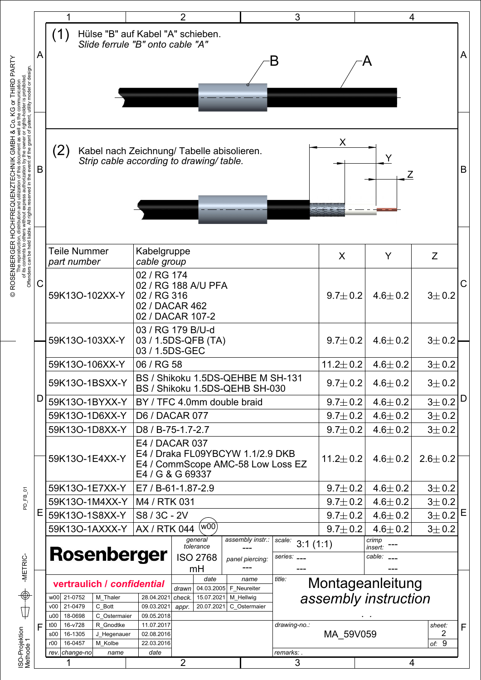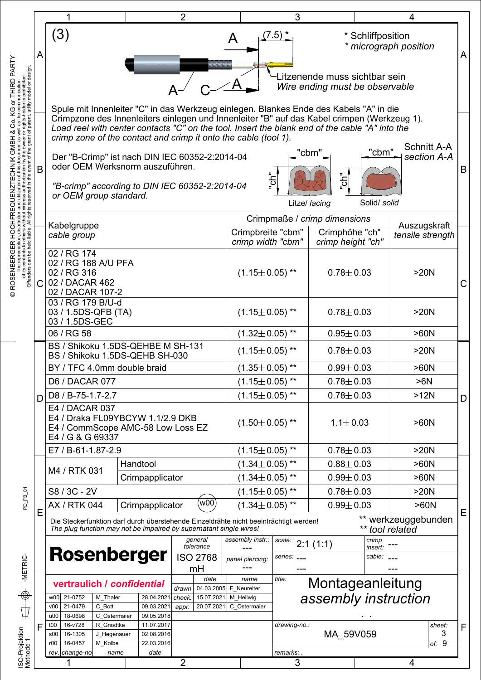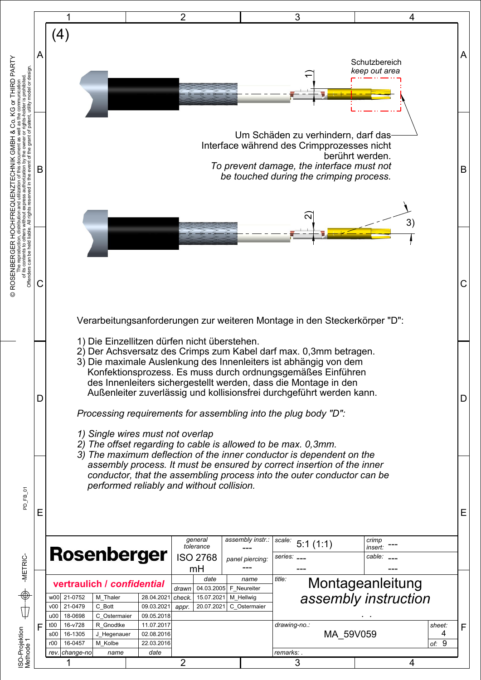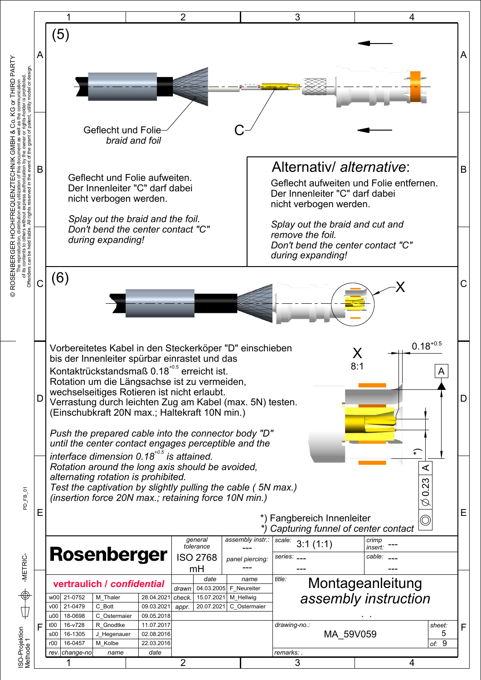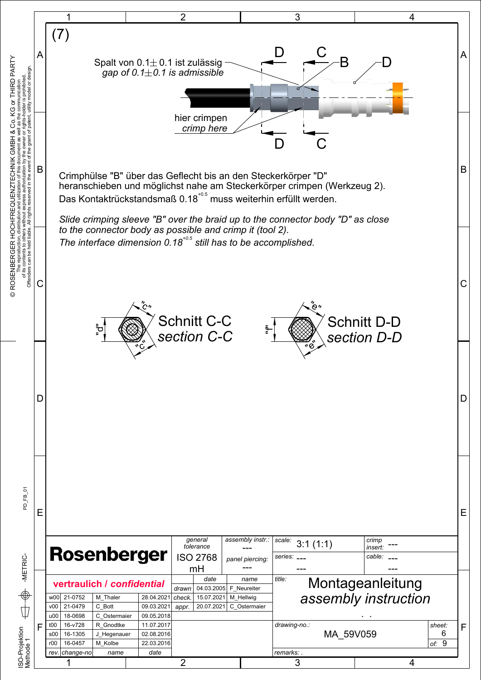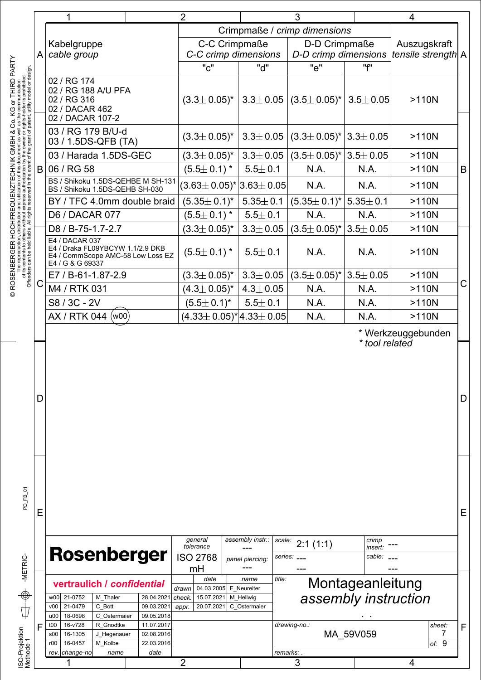|        | 1                                                                                                                                    | 2                                                   |                                                            | 3                                     |                                          | 4                                  |             |
|--------|--------------------------------------------------------------------------------------------------------------------------------------|-----------------------------------------------------|------------------------------------------------------------|---------------------------------------|------------------------------------------|------------------------------------|-------------|
| Α<br>B |                                                                                                                                      |                                                     |                                                            | Crimpmaße / crimp dimensions          |                                          |                                    |             |
|        | Kabelgruppe<br>cable group                                                                                                           | C-C Crimpmaße<br>C-C crimp dimensions               |                                                            | D-D Crimpmaße<br>D-D crimp dimensions |                                          | Auszugskraft<br>tensile strength A |             |
|        |                                                                                                                                      | "c"                                                 | "d"                                                        | "e"                                   | "f"                                      |                                    |             |
|        | 02 / RG 174<br>02 / RG 188 A/U PFA<br>02 / RG 316<br>02 / DACAR 462<br>02 / DACAR 107-2                                              | $(3.3 \pm 0.05)^{*}$                                |                                                            | $3.3 \pm 0.05$ (3.5 $\pm$ 0.05)*      | $3.5 \pm 0.05$                           | $>110N$                            |             |
|        | 03 / RG 179 B/U-d<br>03 / 1.5DS-QFB (TA)                                                                                             | $(3.3 \pm 0.05)^*$                                  | $3.3 \pm 0.05$                                             | $(3.3 \pm 0.05)^*$                    | $3.3 \pm 0.05$                           | >110N                              |             |
|        | 03 / Harada 1.5DS-GEC                                                                                                                | $(3.3 \pm 0.05)^*$                                  | $3.3 \pm 0.05$                                             | $(3.5 \pm 0.05)^*$                    | $3.5 \pm 0.05$                           | $>110N$                            |             |
|        | 06 / RG 58                                                                                                                           | $(5.5 \pm 0.1)^*$                                   | $5.5 \pm 0.1$                                              | N.A.                                  | N.A.                                     | $>110N$                            | $\sf B$     |
|        | BS / Shikoku 1.5DS-QEHBE M SH-131<br>BS / Shikoku 1.5DS-QEHB SH-030                                                                  | $(3.63 \pm 0.05)^* 3.63 \pm 0.05 $                  |                                                            | N.A.                                  | N.A.                                     | $>110N$                            |             |
|        | BY / TFC 4.0mm double braid                                                                                                          | $(5.35 \pm 0.1)^*$                                  | $5.35\pm0.1$                                               | $(5.35 \pm 0.1)^*$                    | $5.35 \pm 0.1$                           | $>110N$                            |             |
|        | D6 / DACAR 077                                                                                                                       | $(5.5 \pm 0.1)^*$                                   | $5.5 \pm 0.1$                                              | N.A.                                  | N.A.                                     | $>110N$                            |             |
|        | D8 / B-75-1.7-2.7                                                                                                                    | $(3.3 \pm 0.05)^*$                                  | $3.3 \pm 0.05$                                             | $(3.5 \pm 0.05)^*$                    | $3.5 \pm 0.05$                           | $>110N$                            |             |
|        | E4 / DACAR 037                                                                                                                       |                                                     |                                                            |                                       |                                          |                                    |             |
|        | E4 / Draka FL09YBCYW 1.1/2.9 DKB<br>E4 / CommScope AMC-58 Low Loss EZ<br>E4 / G & G 69337                                            | $(5.5 \pm 0.1)^*$                                   | $5.5 \pm 0.1$                                              | N.A.                                  | N.A.                                     | $>110N$                            |             |
|        | E7 / B-61-1.87-2.9                                                                                                                   | $(3.3 \pm 0.05)^*$                                  | $3.3 \pm 0.05$                                             | $(3.5 \pm 0.05)^*$                    | $3.5 \pm 0.05$                           | $>110N$                            |             |
| Ç      | M4 / RTK 031                                                                                                                         | $(4.3 \pm 0.05)^*$                                  | $4.3 \pm 0.05$                                             | N.A.                                  | N.A.                                     | $>110N$                            | $\mathsf C$ |
|        | S8 / 3C - 2V                                                                                                                         | $(5.5 \pm 0.1)^*$                                   | $5.5 \pm 0.1$                                              | N.A.                                  | N.A.                                     | $>110N$                            |             |
|        | AX / RTK 044 (w00)                                                                                                                   | $(4.33 \pm 0.05)^*$ 4.33 $\pm$ 0.05                 |                                                            | N.A.                                  | N.A.                                     | $>110N$                            |             |
| D      |                                                                                                                                      |                                                     |                                                            |                                       |                                          |                                    | D           |
| Ε      | <b>Rosenberger</b>                                                                                                                   | general<br>tolerance<br><b>ISO 2768</b>             | assembly instr.:<br>scale:<br>panel piercing:              | 2:1(1:1)<br>series: ___               | crimp<br>insert:<br>cable:               |                                    | E           |
|        |                                                                                                                                      | mH                                                  |                                                            |                                       |                                          |                                    |             |
|        | vertraulich / confidential<br>w00 21-0752<br>M Thaler<br>28.04.2021<br>v00<br>21-0479<br>09.03.2021                                  | date<br>04.03.2005<br>drawn<br>15.07.2021<br>check. | title:<br>name<br>F_Neureiter<br>M Hellwig<br>C Ostermaier |                                       | Montageanleitung<br>assembly instruction |                                    |             |
|        | C Bott<br>18-0698<br>C Ostermaier<br>u00<br>09.05.2018                                                                               | 20.07.2021<br>appr.                                 |                                                            |                                       |                                          |                                    |             |
| F      | 16-v728<br>R Gnodtke<br>t00<br>11.07.2017<br>16-1305<br>02.08.2016<br>\$00<br>J Hegenauer<br>16-0457<br>22.03.2016<br>r00<br>M Kolbe |                                                     |                                                            | drawing-no.:                          | MA 59V059                                | sheet:<br>7<br>of: $9$             | F           |
|        |                                                                                                                                      |                                                     |                                                            |                                       |                                          |                                    |             |
|        | rev. change-no<br>date<br>name                                                                                                       |                                                     |                                                            | remarks: .                            |                                          |                                    |             |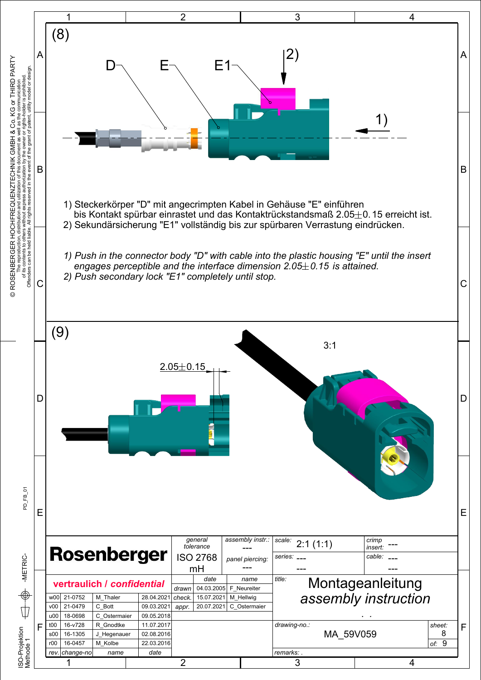